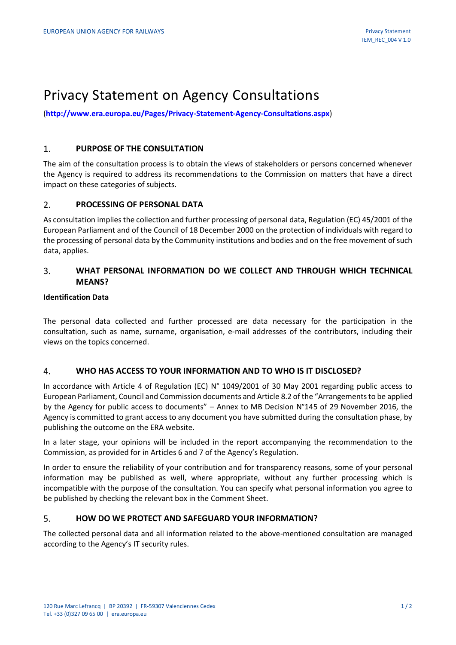# Privacy Statement on Agency Consultations

(**<http://www.era.europa.eu/Pages/Privacy-Statement-Agency-Consultations.aspx>**)

#### $1<sub>1</sub>$ **PURPOSE OF THE CONSULTATION**

The aim of the consultation process is to obtain the views of stakeholders or persons concerned whenever the Agency is required to address its recommendations to the Commission on matters that have a direct impact on these categories of subjects.

#### $2.$ **PROCESSING OF PERSONAL DATA**

As consultation implies the collection and further processing of personal data, Regulation (EC) 45/2001 of the European Parliament and of the Council of 18 December 2000 on the protection of individuals with regard to the processing of personal data by the Community institutions and bodies and on the free movement of such data, applies.

### **WHAT PERSONAL INFORMATION DO WE COLLECT AND THROUGH WHICH TECHNICAL**  3. **MEANS?**

## **Identification Data**

The personal data collected and further processed are data necessary for the participation in the consultation, such as name, surname, organisation, e-mail addresses of the contributors, including their views on the topics concerned.

#### $4.$ **WHO HAS ACCESS TO YOUR INFORMATION AND TO WHO IS IT DISCLOSED?**

In accordance with Article 4 of Regulation (EC) N° 1049/2001 of 30 May 2001 regarding public access to European Parliament, Council and Commission documents and Article 8.2 of the "Arrangements to be applied by the Agency for public access to documents" – Annex to MB Decision N°145 of 29 November 2016, the Agency is committed to grant access to any document you have submitted during the consultation phase, by publishing the outcome on the ERA website.

In a later stage, your opinions will be included in the report accompanying the recommendation to the Commission, as provided for in Articles 6 and 7 of the Agency's Regulation.

In order to ensure the reliability of your contribution and for transparency reasons, some of your personal information may be published as well, where appropriate, without any further processing which is incompatible with the purpose of the consultation. You can specify what personal information you agree to be published by checking the relevant box in the Comment Sheet.

#### $5<sub>1</sub>$ **HOW DO WE PROTECT AND SAFEGUARD YOUR INFORMATION?**

The collected personal data and all information related to the above-mentioned consultation are managed according to the Agency's IT security rules.